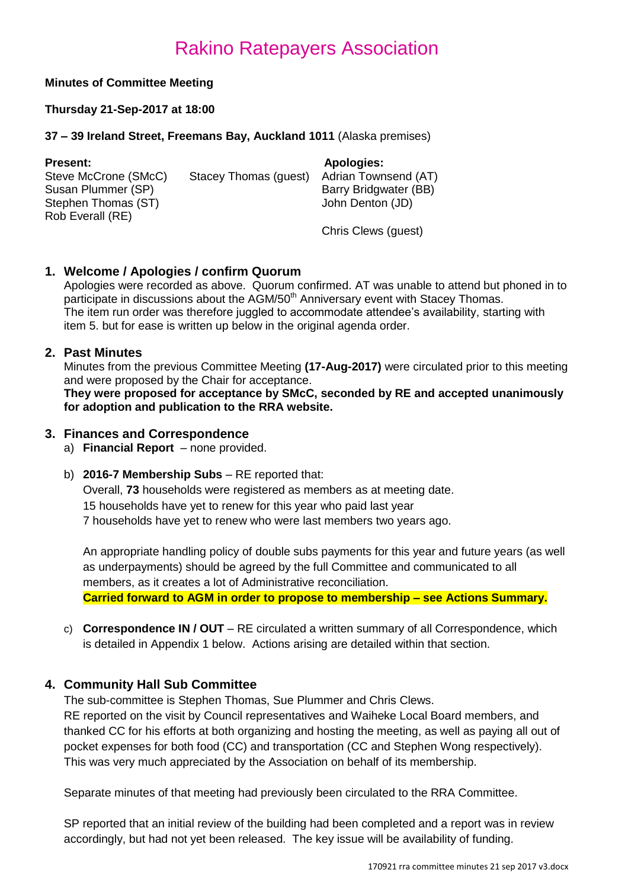### **Minutes of Committee Meeting**

### **Thursday 21-Sep-2017 at 18:00**

### **37 – 39 Ireland Street, Freemans Bay, Auckland 1011** (Alaska premises)

| <b>Present:</b>      |                       | <b>Apologies:</b>     |
|----------------------|-----------------------|-----------------------|
| Steve McCrone (SMcC) | Stacey Thomas (guest) | Adrian Townsend (AT)  |
| Susan Plummer (SP)   |                       | Barry Bridgwater (BB) |
| Stephen Thomas (ST)  |                       | John Denton (JD)      |
| Rob Everall (RE)     |                       |                       |
|                      |                       | Chris Clews (guest)   |

### **1. Welcome / Apologies / confirm Quorum**

Apologies were recorded as above. Quorum confirmed. AT was unable to attend but phoned in to participate in discussions about the AGM/50<sup>th</sup> Anniversary event with Stacey Thomas. The item run order was therefore juggled to accommodate attendee's availability, starting with item 5. but for ease is written up below in the original agenda order.

### **2. Past Minutes**

Minutes from the previous Committee Meeting **(17-Aug-2017)** were circulated prior to this meeting and were proposed by the Chair for acceptance.

**They were proposed for acceptance by SMcC, seconded by RE and accepted unanimously for adoption and publication to the RRA website.**

### **3. Finances and Correspondence**

- a) **Financial Report** none provided.
- b) **2016-7 Membership Subs** RE reported that:

Overall, **73** households were registered as members as at meeting date. 15 households have yet to renew for this year who paid last year 7 households have yet to renew who were last members two years ago.

An appropriate handling policy of double subs payments for this year and future years (as well as underpayments) should be agreed by the full Committee and communicated to all members, as it creates a lot of Administrative reconciliation. **Carried forward to AGM in order to propose to membership – see Actions Summary.**

c) **Correspondence IN / OUT** – RE circulated a written summary of all Correspondence, which is detailed in Appendix 1 below. Actions arising are detailed within that section.

### **4. Community Hall Sub Committee**

The sub-committee is Stephen Thomas, Sue Plummer and Chris Clews.

RE reported on the visit by Council representatives and Waiheke Local Board members, and thanked CC for his efforts at both organizing and hosting the meeting, as well as paying all out of pocket expenses for both food (CC) and transportation (CC and Stephen Wong respectively). This was very much appreciated by the Association on behalf of its membership.

Separate minutes of that meeting had previously been circulated to the RRA Committee.

SP reported that an initial review of the building had been completed and a report was in review accordingly, but had not yet been released. The key issue will be availability of funding.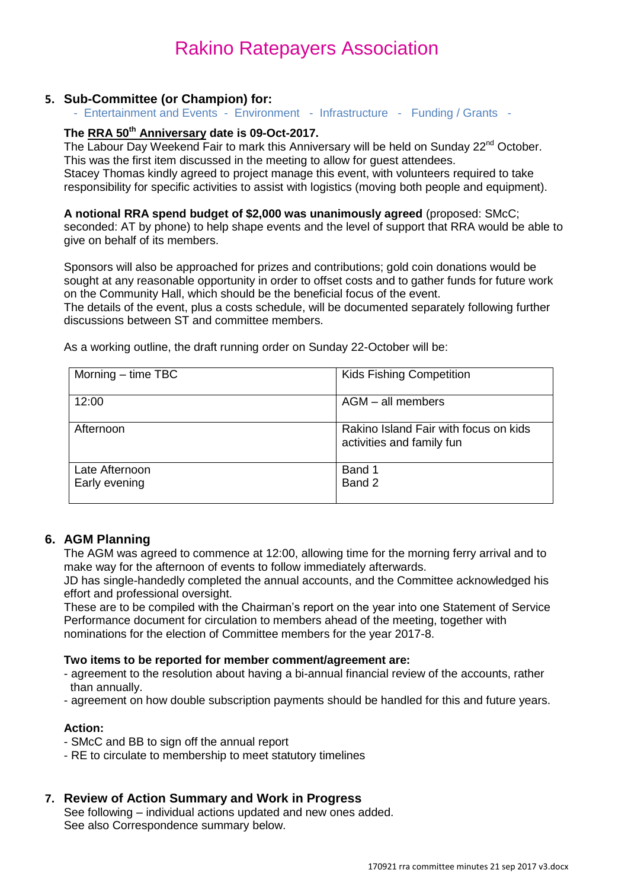### **5. Sub-Committee (or Champion) for:**

- Entertainment and Events - Environment - Infrastructure - Funding / Grants -

### **The RRA 50th Anniversary date is 09-Oct-2017.**

The Labour Day Weekend Fair to mark this Anniversary will be held on Sunday 22<sup>nd</sup> October. This was the first item discussed in the meeting to allow for guest attendees.

Stacey Thomas kindly agreed to project manage this event, with volunteers required to take responsibility for specific activities to assist with logistics (moving both people and equipment).

#### **A notional RRA spend budget of \$2,000 was unanimously agreed** (proposed: SMcC;

seconded: AT by phone) to help shape events and the level of support that RRA would be able to give on behalf of its members.

Sponsors will also be approached for prizes and contributions; gold coin donations would be sought at any reasonable opportunity in order to offset costs and to gather funds for future work on the Community Hall, which should be the beneficial focus of the event.

The details of the event, plus a costs schedule, will be documented separately following further discussions between ST and committee members.

| Morning $-$ time TBC            | <b>Kids Fishing Competition</b>                                    |
|---------------------------------|--------------------------------------------------------------------|
| 12:00                           | $AGM - all$ members                                                |
| Afternoon                       | Rakino Island Fair with focus on kids<br>activities and family fun |
| Late Afternoon<br>Early evening | Band 1<br>Band 2                                                   |
|                                 |                                                                    |

As a working outline, the draft running order on Sunday 22-October will be:

### **6. AGM Planning**

The AGM was agreed to commence at 12:00, allowing time for the morning ferry arrival and to make way for the afternoon of events to follow immediately afterwards.

JD has single-handedly completed the annual accounts, and the Committee acknowledged his effort and professional oversight.

These are to be compiled with the Chairman's report on the year into one Statement of Service Performance document for circulation to members ahead of the meeting, together with nominations for the election of Committee members for the year 2017-8.

#### **Two items to be reported for member comment/agreement are:**

- agreement to the resolution about having a bi-annual financial review of the accounts, rather than annually.
- agreement on how double subscription payments should be handled for this and future years.

### **Action:**

- SMcC and BB to sign off the annual report
- RE to circulate to membership to meet statutory timelines

### **7. Review of Action Summary and Work in Progress**

See following – individual actions updated and new ones added. See also Correspondence summary below.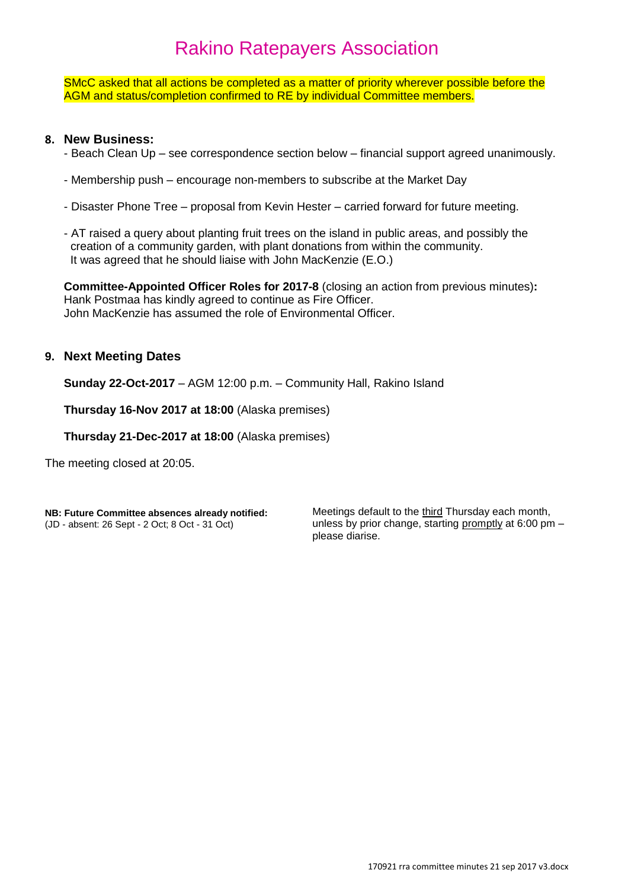SMcC asked that all actions be completed as a matter of priority wherever possible before the AGM and status/completion confirmed to RE by individual Committee members.

### **8. New Business:**

- Beach Clean Up see correspondence section below financial support agreed unanimously.
- Membership push encourage non-members to subscribe at the Market Day
- Disaster Phone Tree proposal from Kevin Hester carried forward for future meeting.
- AT raised a query about planting fruit trees on the island in public areas, and possibly the creation of a community garden, with plant donations from within the community. It was agreed that he should liaise with John MacKenzie (E.O.)

**Committee-Appointed Officer Roles for 2017-8** (closing an action from previous minutes)**:** Hank Postmaa has kindly agreed to continue as Fire Officer. John MacKenzie has assumed the role of Environmental Officer.

### **9. Next Meeting Dates**

**Sunday 22-Oct-2017** – AGM 12:00 p.m. – Community Hall, Rakino Island

**Thursday 16-Nov 2017 at 18:00** (Alaska premises)

**Thursday 21-Dec-2017 at 18:00** (Alaska premises)

The meeting closed at 20:05.

**NB: Future Committee absences already notified:** (JD - absent: 26 Sept - 2 Oct; 8 Oct - 31 Oct)

Meetings default to the third Thursday each month, unless by prior change, starting promptly at 6:00 pm – please diarise.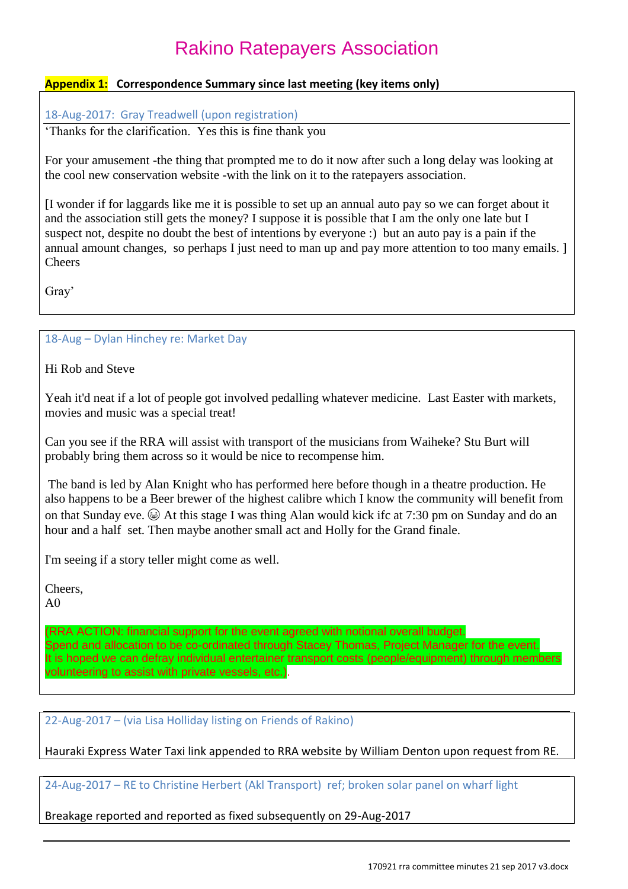### **Appendix 1: Correspondence Summary since last meeting (key items only)**

18-Aug-2017: Gray Treadwell (upon registration)

'Thanks for the clarification. Yes this is fine thank you

For your amusement -the thing that prompted me to do it now after such a long delay was looking at the cool new conservation website -with the link on it to the ratepayers association.

[I wonder if for laggards like me it is possible to set up an annual auto pay so we can forget about it and the association still gets the money? I suppose it is possible that I am the only one late but I suspect not, despite no doubt the best of intentions by everyone :) but an auto pay is a pain if the annual amount changes, so perhaps I just need to man up and pay more attention to too many emails. ] **Cheers** 

Gray'

18-Aug – Dylan Hinchey re: Market Day

Hi Rob and Steve

Yeah it'd neat if a lot of people got involved pedalling whatever medicine. Last Easter with markets, movies and music was a special treat!

Can you see if the RRA will assist with transport of the musicians from Waiheke? Stu Burt will probably bring them across so it would be nice to recompense him.

The band is led by Alan Knight who has performed here before though in a theatre production. He also happens to be a Beer brewer of the highest calibre which I know the community will benefit from on that Sunday eve.  $\circledA$  At this stage I was thing Alan would kick ifc at 7:30 pm on Sunday and do an hour and a half set. Then maybe another small act and Holly for the Grand finale.

I'm seeing if a story teller might come as well.

Cheers,

A0

(RRA ACTION: financial support for the event agreed with notional overall budget. Spend and allocation to be co-ordinated through Stacey Thomas, Project Manager for the event. It is hoped we can defray individual entertainer transport costs (people/equipment) through members volunteering to assist with private vessels, etc.).

22-Aug-2017 – (via Lisa Holliday listing on Friends of Rakino)

Hauraki Express Water Taxi link appended to RRA website by William Denton upon request from RE.

24-Aug-2017 – RE to Christine Herbert (Akl Transport) ref; broken solar panel on wharf light

Breakage reported and reported as fixed subsequently on 29-Aug-2017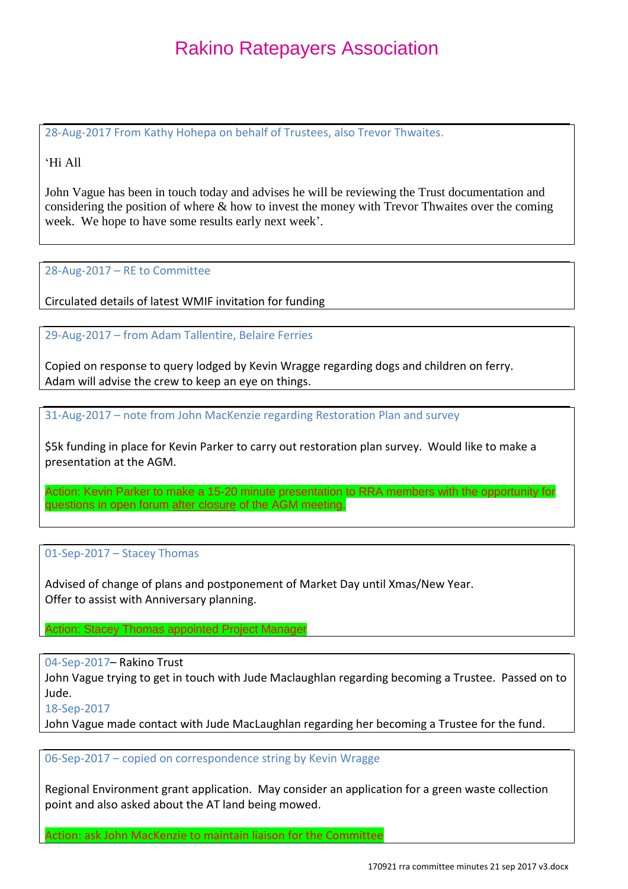28-Aug-2017 From Kathy Hohepa on behalf of Trustees, also Trevor Thwaites.

### 'Hi All

John Vague has been in touch today and advises he will be reviewing the Trust documentation and considering the position of where & how to invest the money with Trevor Thwaites over the coming week. We hope to have some results early next week'.

### 28-Aug-2017 – RE to Committee

Circulated details of latest WMIF invitation for funding

29-Aug-2017 – from Adam Tallentire, Belaire Ferries

Copied on response to query lodged by Kevin Wragge regarding dogs and children on ferry. Adam will advise the crew to keep an eye on things.

31-Aug-2017 – note from John MacKenzie regarding Restoration Plan and survey

\$5k funding in place for Kevin Parker to carry out restoration plan survey. Would like to make a presentation at the AGM.

Action: Kevin Parker to make a 15-20 minute presentation to RRA members with the opportunity for questions in open forum after closure of the AGM meeting.

### 01-Sep-2017 – Stacey Thomas

Advised of change of plans and postponement of Market Day until Xmas/New Year. Offer to assist with Anniversary planning.

Action: Stacey Thomas appointed Project Manager

04-Sep-2017– Rakino Trust

John Vague trying to get in touch with Jude Maclaughlan regarding becoming a Trustee. Passed on to Jude.

18-Sep-2017

John Vague made contact with Jude MacLaughlan regarding her becoming a Trustee for the fund.

06-Sep-2017 – copied on correspondence string by Kevin Wragge

Regional Environment grant application. May consider an application for a green waste collection point and also asked about the AT land being mowed.

Action: ask John MacKenzie to maintain liaison for the Committee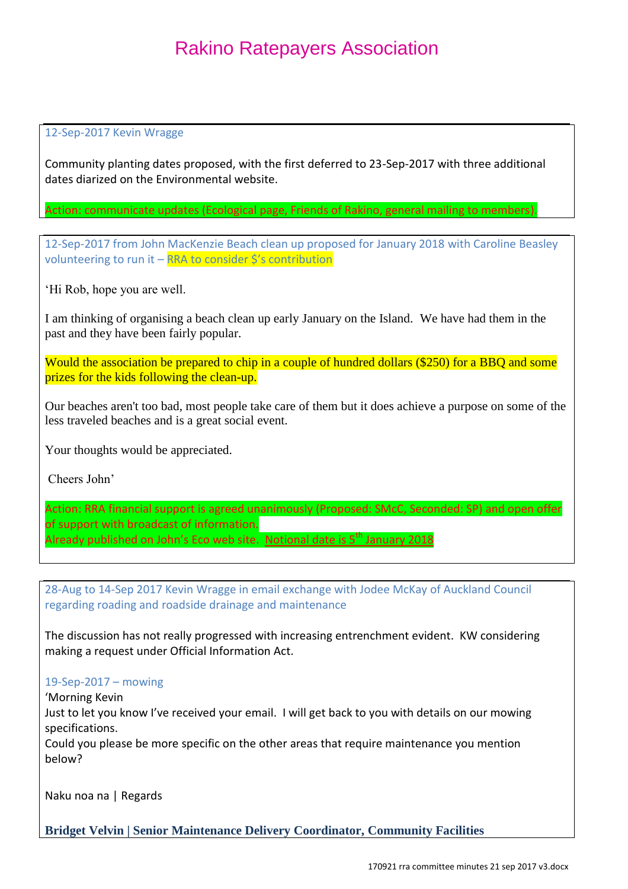### 12-Sep-2017 Kevin Wragge

Community planting dates proposed, with the first deferred to 23-Sep-2017 with three additional dates diarized on the Environmental website.

Action: communicate updates (Ecological page, Friends of Rakino, general mailing to members).

12-Sep-2017 from John MacKenzie Beach clean up proposed for January 2018 with Caroline Beasley volunteering to run it – RRA to consider \$'s contribution

'Hi Rob, hope you are well.

I am thinking of organising a beach clean up early January on the Island. We have had them in the past and they have been fairly popular.

Would the association be prepared to chip in a couple of hundred dollars (\$250) for a BBQ and some prizes for the kids following the clean-up.

Our beaches aren't too bad, most people take care of them but it does achieve a purpose on some of the less traveled beaches and is a great social event.

Your thoughts would be appreciated.

Cheers John'

Action: RRA financial support is agreed unanimously (Proposed: SMcC, Seconded: SP) and open offer of support with broadcast of information. Already published on John's Eco web site. Notional date is 5<sup>th</sup> January 2018

28-Aug to 14-Sep 2017 Kevin Wragge in email exchange with Jodee McKay of Auckland Council regarding roading and roadside drainage and maintenance

The discussion has not really progressed with increasing entrenchment evident. KW considering making a request under Official Information Act.

### 19-Sep-2017 – mowing

'Morning Kevin

Just to let you know I've received your email. I will get back to you with details on our mowing specifications.

Could you please be more specific on the other areas that require maintenance you mention below?

Naku noa na | Regards

**Bridget Velvin | Senior Maintenance Delivery Coordinator, Community Facilities**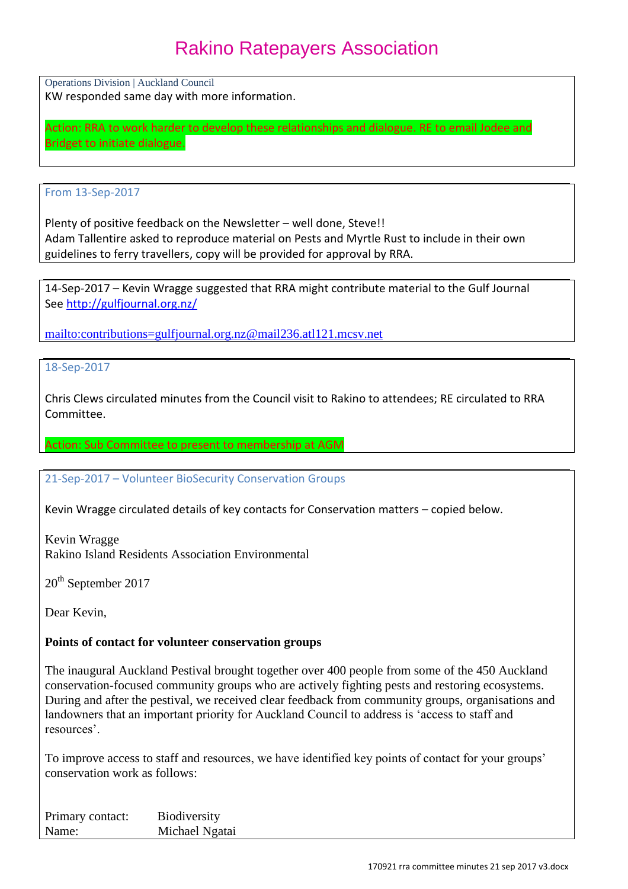Operations Division | Auckland Council KW responded same day with more information.

Action: RRA to work harder to develop these relationships and dialogue. RE to email Jodee and Bridget to initiate dialogue.

### From 13-Sep-2017

Plenty of positive feedback on the Newsletter – well done, Steve!! Adam Tallentire asked to reproduce material on Pests and Myrtle Rust to include in their own guidelines to ferry travellers, copy will be provided for approval by RRA.

14-Sep-2017 – Kevin Wragge suggested that RRA might contribute material to the Gulf Journal Se[e http://gulfjournal.org.nz/](http://gulfjournal.org.nz/)

<mailto:contributions=gulfjournal.org.nz@mail236.atl121.mcsv.net>

### 18-Sep-2017

Chris Clews circulated minutes from the Council visit to Rakino to attendees; RE circulated to RRA Committee.

### Action: Sub Committee to present to membership at AGM

### 21-Sep-2017 – Volunteer BioSecurity Conservation Groups

Kevin Wragge circulated details of key contacts for Conservation matters – copied below.

Kevin Wragge Rakino Island Residents Association Environmental

20<sup>th</sup> September 2017

Dear Kevin,

### **Points of contact for volunteer conservation groups**

The inaugural Auckland Pestival brought together over 400 people from some of the 450 Auckland conservation-focused community groups who are actively fighting pests and restoring ecosystems. During and after the pestival, we received clear feedback from community groups, organisations and landowners that an important priority for Auckland Council to address is 'access to staff and resources'.

To improve access to staff and resources, we have identified key points of contact for your groups' conservation work as follows:

Primary contact: Biodiversity Name: Michael Ngatai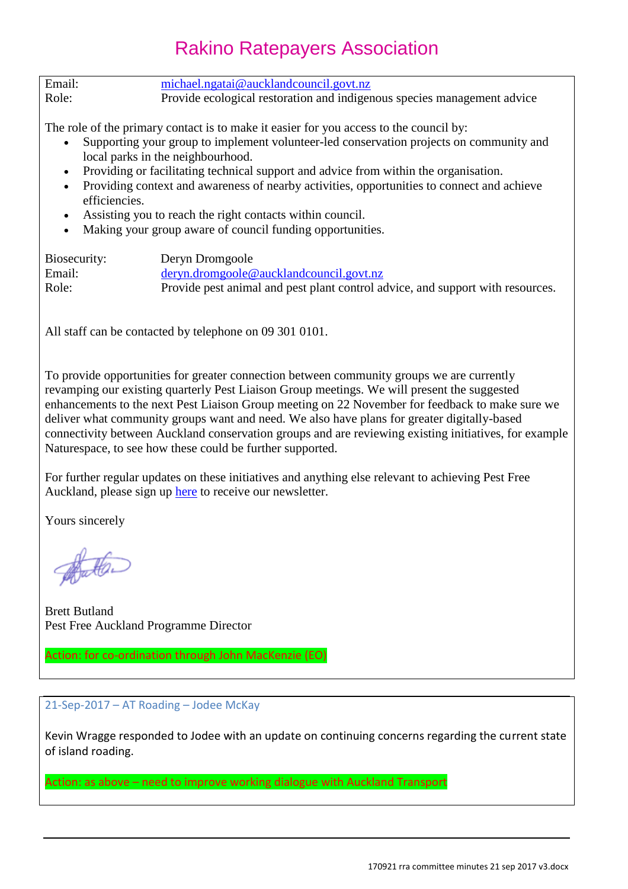| Email: | $michael.ngatai@aucklandcouncil.govt.nz$                                |
|--------|-------------------------------------------------------------------------|
| Role:  | Provide ecological restoration and indigenous species management advice |

The role of the primary contact is to make it easier for you access to the council by:

- Supporting your group to implement volunteer-led conservation projects on community and local parks in the neighbourhood.
- Providing or facilitating technical support and advice from within the organisation.
- Providing context and awareness of nearby activities, opportunities to connect and achieve efficiencies.
- Assisting you to reach the right contacts within council.
- Making your group aware of council funding opportunities.

| Biosecurity: | Deryn Dromgoole                                                                |
|--------------|--------------------------------------------------------------------------------|
| Email:       | $deryn.dromgoole@aucklandcouncil.govt.nz$                                      |
| Role:        | Provide pest animal and pest plant control advice, and support with resources. |

All staff can be contacted by telephone on 09 301 0101.

To provide opportunities for greater connection between community groups we are currently revamping our existing quarterly Pest Liaison Group meetings. We will present the suggested enhancements to the next Pest Liaison Group meeting on 22 November for feedback to make sure we deliver what community groups want and need. We also have plans for greater digitally-based connectivity between Auckland conservation groups and are reviewing existing initiatives, for example Naturespace, to see how these could be further supported.

For further regular updates on these initiatives and anything else relevant to achieving Pest Free Auckland, please sign up [here](http://engage.ubiquity.co.nz/forms/0QQW8PUsv0OcwgjUt9Ja5w) to receive our newsletter.

Yours sincerely

Brett Butland Pest Free Auckland Programme Director

Action: for co-ordination through John MacKenzie (EO)

#### 21-Sep-2017 – AT Roading – Jodee McKay

Kevin Wragge responded to Jodee with an update on continuing concerns regarding the current state of island roading.

Action: as above – need to improve working dialogue with Auckland Transport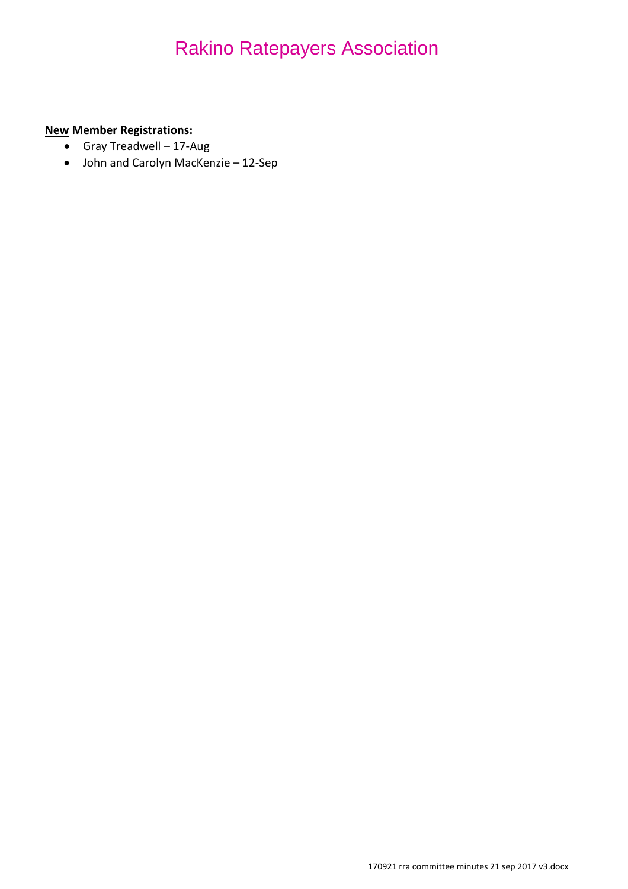**New Member Registrations:**

- Gray Treadwell 17-Aug
- John and Carolyn MacKenzie 12-Sep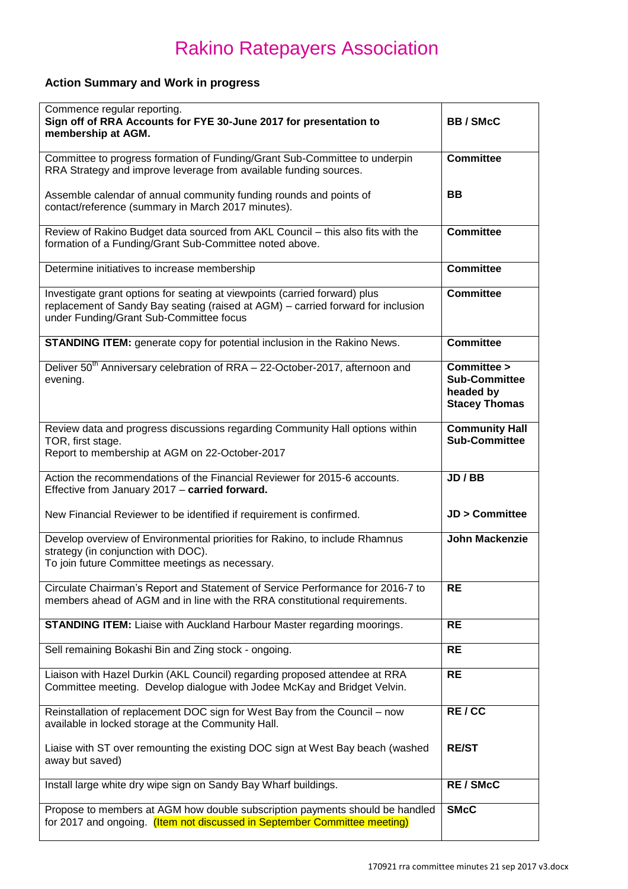### **Action Summary and Work in progress**

| Commence regular reporting.<br>Sign off of RRA Accounts for FYE 30-June 2017 for presentation to<br>membership at AGM.                                                                                    | <b>BB/SMcC</b>                                                           |
|-----------------------------------------------------------------------------------------------------------------------------------------------------------------------------------------------------------|--------------------------------------------------------------------------|
| Committee to progress formation of Funding/Grant Sub-Committee to underpin<br>RRA Strategy and improve leverage from available funding sources.                                                           | <b>Committee</b>                                                         |
| Assemble calendar of annual community funding rounds and points of<br>contact/reference (summary in March 2017 minutes).                                                                                  | <b>BB</b>                                                                |
| Review of Rakino Budget data sourced from AKL Council - this also fits with the<br>formation of a Funding/Grant Sub-Committee noted above.                                                                | <b>Committee</b>                                                         |
| Determine initiatives to increase membership                                                                                                                                                              | <b>Committee</b>                                                         |
| Investigate grant options for seating at viewpoints (carried forward) plus<br>replacement of Sandy Bay seating (raised at AGM) - carried forward for inclusion<br>under Funding/Grant Sub-Committee focus | <b>Committee</b>                                                         |
| <b>STANDING ITEM:</b> generate copy for potential inclusion in the Rakino News.                                                                                                                           | <b>Committee</b>                                                         |
| Deliver 50 <sup>th</sup> Anniversary celebration of RRA - 22-October-2017, afternoon and<br>evening.                                                                                                      | Committee ><br><b>Sub-Committee</b><br>headed by<br><b>Stacey Thomas</b> |
| Review data and progress discussions regarding Community Hall options within<br>TOR, first stage.<br>Report to membership at AGM on 22-October-2017                                                       | <b>Community Hall</b><br><b>Sub-Committee</b>                            |
| Action the recommendations of the Financial Reviewer for 2015-6 accounts.<br>Effective from January 2017 - carried forward.                                                                               | JD / BB                                                                  |
| New Financial Reviewer to be identified if requirement is confirmed.                                                                                                                                      | <b>JD &gt; Committee</b>                                                 |
| Develop overview of Environmental priorities for Rakino, to include Rhamnus<br>strategy (in conjunction with DOC).<br>To join future Committee meetings as necessary.                                     | <b>John Mackenzie</b>                                                    |
| Circulate Chairman's Report and Statement of Service Performance for 2016-7 to<br>members ahead of AGM and in line with the RRA constitutional requirements.                                              | <b>RE</b>                                                                |
| <b>STANDING ITEM:</b> Liaise with Auckland Harbour Master regarding moorings.                                                                                                                             | <b>RE</b>                                                                |
| Sell remaining Bokashi Bin and Zing stock - ongoing.                                                                                                                                                      | <b>RE</b>                                                                |
| Liaison with Hazel Durkin (AKL Council) regarding proposed attendee at RRA<br>Committee meeting. Develop dialogue with Jodee McKay and Bridget Velvin.                                                    | <b>RE</b>                                                                |
| Reinstallation of replacement DOC sign for West Bay from the Council - now<br>available in locked storage at the Community Hall.                                                                          | RE/CC                                                                    |
| Liaise with ST over remounting the existing DOC sign at West Bay beach (washed<br>away but saved)                                                                                                         | <b>RE/ST</b>                                                             |
| Install large white dry wipe sign on Sandy Bay Wharf buildings.                                                                                                                                           | <b>RE/SMcC</b>                                                           |
| Propose to members at AGM how double subscription payments should be handled<br>for 2017 and ongoing. (Item not discussed in September Committee meeting)                                                 | <b>SMcC</b>                                                              |